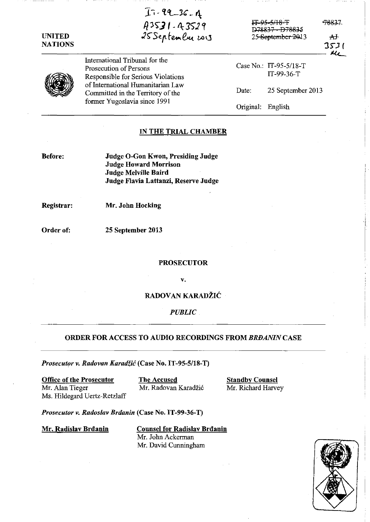| UNITED<br><b>NATIONS</b> | $17 - 99 - 36 - 1$<br>$43531 - 43529$<br>25 Septembre 2013                                                                                                                                               | IT 95-5/18-T<br><del>078837 - D78835</del><br>25 September 2013 |                                        | <del>7883</del> 7<br>$\overline{A}$<br>3531<br>u, |
|--------------------------|----------------------------------------------------------------------------------------------------------------------------------------------------------------------------------------------------------|-----------------------------------------------------------------|----------------------------------------|---------------------------------------------------|
|                          | International Tribunal for the<br>Prosecution of Persons<br>Responsible for Serious Violations<br>of International Humanitarian Law<br>Committed in the Territory of the<br>former Yugoslavia since 1991 |                                                                 | Case No.: IT-95-5/18-T<br>$IT-99-36-T$ |                                                   |
|                          |                                                                                                                                                                                                          | Date:                                                           | 25 September 2013                      |                                                   |
|                          |                                                                                                                                                                                                          | Original:                                                       | English                                |                                                   |

### IN THE TRIAL CHAMBER

Before:

Judge O-Gon Kwon, Presiding Judge Judge Howard Morrison Jndge Melville Baird Jndge Flavia Lattanzi, Reserve Jndge

Registrar:

Mr. John Hocking

Order of:

25 September 2013

**PROSECUTOR** 

v.

RADOVAN KARADŽIĆ

*PUBLIC* 

## ORDER FOR ACCESS TO AUDIO RECORDINGS FROM *BRBANIN* CASE

*Prosecutor v. Radovan Karadf.ic* (Case No. IT -95-5/18-T)

Office of the Prosecutor The Accused Standby Counsel Mr. Alan Tieger Mr. Radovan Karadžić Mr. Richard Harvey Ms. Hildegard Uertz-Retzlaff

*Prosecutor v. Radoslav Brilanin* (Case No. IT-99-36-T)

Mr. Radislav Brđanin Counsel for Radislav Brđanin Mr. John Ackerman Mr. David Cunningham

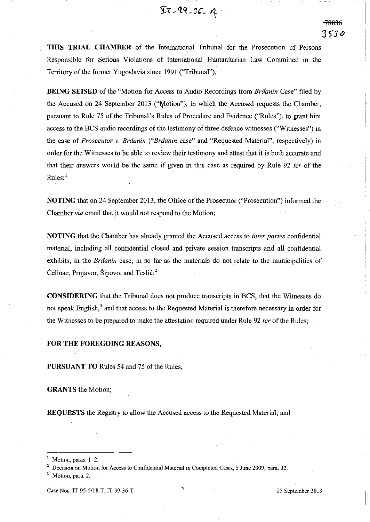**TillS TRIAL CHAMBER** of the International Tribunal for the Prosecution of Persons Responsible for Serious Violations of International Humanitarian Law Committed in the Territory of the former Yugoslavia since 1991 ("Tribunal"),

 $27 - 99 - 36 - 4$ 

**BEING SEISED** of the "Motion for Access to Audio Recordings from *Braanin* Case" filed by the Accused on 24 September 2013 ("Motion"), in which the Accused requests the Chamber, pursuant to Rule 75 of the Tribunal's Rules of Procedure and Evidence ("Rules''), to grant him access to the BCS audio recordings of the testimony of three defence witnesses ("Witnesses") in the case of *Prosecutor* v. *Braanin ("Braanin* case" and "Requested Material", respectively) in order for the Witnesses to be able to review their testimony and attest that it is both accurate and . that their answers would be the same if given in this case as required by Rule 92 *ter* of the  $Rules$ :<sup>1</sup>

**NOTING** that on 24 September 2013, the Office of the Prosecutor ("Prosecution") informed the Chamber *via* email that it would not respond to the Motion;

**NOTING** that the Chamber has already granted the Accused access to *inter partes* confidential material, including all confidential closed and private session transcripts and aI1 confidential exhibits, in the *Braanin* case, in so far as the materials do not relate to the municipalities of Celinac, Prnjavor, Sipovo, and Teslić; $^2$ 

**CONSIDERING** that the Tribunal does not produce transcripts in BCS, that the Witnesses do not speak English,<sup>3</sup> and that access to the Requested Material is therefore necessary in order for the Witnesses to be prepared to make the attestation required under Rule 92 *ter* of the Rules;

#### **FOR THE FOREGOING** REASONS,

**PURSUANT TO** Rules 54 and 75 of the Rules,

**GRANTS** the Motion;

**REQUESTS** the Registry to allow the Accused access to the Requested Material; and

**<sup>1</sup>Motion, paras. 1-2.** 

<sup>2</sup> **Decision on Motion for Access to Confidential Material in Completed Cases, 5 June 2009, para. 32.** 

Motion, para. 2.